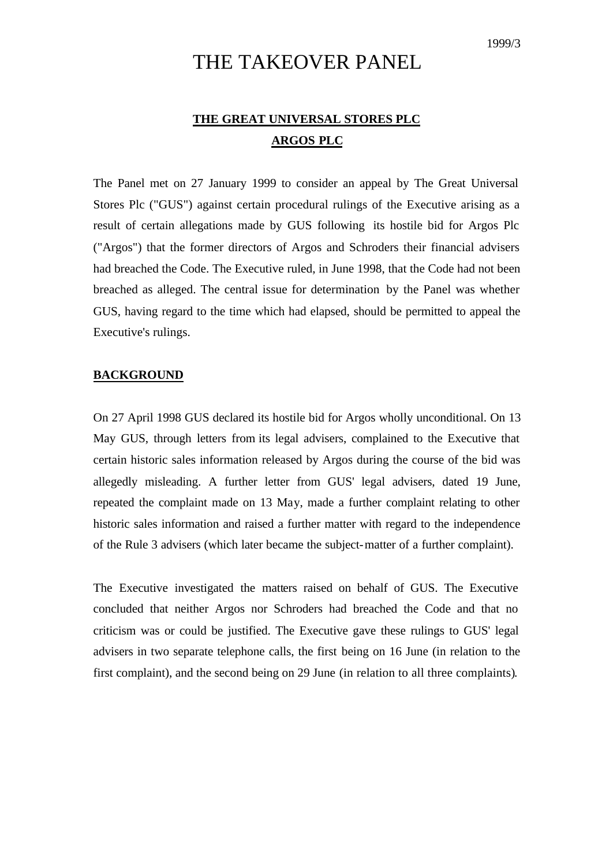# THE TAKEOVER PANEL

# **THE GREAT UNIVERSAL STORES PLC ARGOS PLC**

The Panel met on 27 January 1999 to consider an appeal by The Great Universal Stores Plc ("GUS") against certain procedural rulings of the Executive arising as a result of certain allegations made by GUS following its hostile bid for Argos Plc ("Argos") that the former directors of Argos and Schroders their financial advisers had breached the Code. The Executive ruled, in June 1998, that the Code had not been breached as alleged. The central issue for determination by the Panel was whether GUS, having regard to the time which had elapsed, should be permitted to appeal the Executive's rulings.

## **BACKGROUND**

On 27 April 1998 GUS declared its hostile bid for Argos wholly unconditional. On 13 May GUS, through letters from its legal advisers, complained to the Executive that certain historic sales information released by Argos during the course of the bid was allegedly misleading. A further letter from GUS' legal advisers, dated 19 June, repeated the complaint made on 13 May, made a further complaint relating to other historic sales information and raised a further matter with regard to the independence of the Rule 3 advisers (which later became the subject-matter of a further complaint).

The Executive investigated the matters raised on behalf of GUS. The Executive concluded that neither Argos nor Schroders had breached the Code and that no criticism was or could be justified. The Executive gave these rulings to GUS' legal advisers in two separate telephone calls, the first being on 16 June (in relation to the first complaint), and the second being on 29 June (in relation to all three complaints).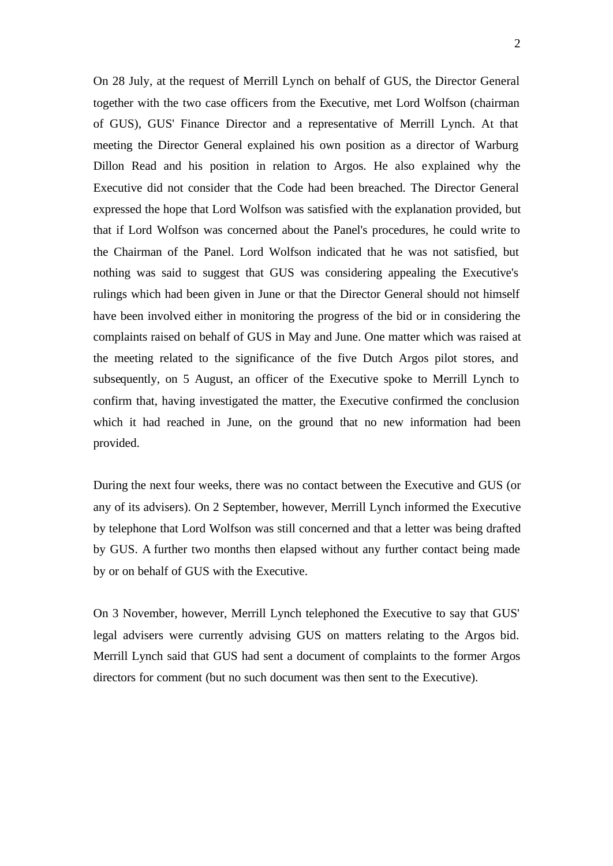On 28 July, at the request of Merrill Lynch on behalf of GUS, the Director General together with the two case officers from the Executive, met Lord Wolfson (chairman of GUS), GUS' Finance Director and a representative of Merrill Lynch. At that meeting the Director General explained his own position as a director of Warburg Dillon Read and his position in relation to Argos. He also explained why the Executive did not consider that the Code had been breached. The Director General expressed the hope that Lord Wolfson was satisfied with the explanation provided, but that if Lord Wolfson was concerned about the Panel's procedures, he could write to the Chairman of the Panel. Lord Wolfson indicated that he was not satisfied, but nothing was said to suggest that GUS was considering appealing the Executive's rulings which had been given in June or that the Director General should not himself have been involved either in monitoring the progress of the bid or in considering the complaints raised on behalf of GUS in May and June. One matter which was raised at the meeting related to the significance of the five Dutch Argos pilot stores, and subsequently, on 5 August, an officer of the Executive spoke to Merrill Lynch to confirm that, having investigated the matter, the Executive confirmed the conclusion which it had reached in June, on the ground that no new information had been provided.

During the next four weeks, there was no contact between the Executive and GUS (or any of its advisers). On 2 September, however, Merrill Lynch informed the Executive by telephone that Lord Wolfson was still concerned and that a letter was being drafted by GUS. A further two months then elapsed without any further contact being made by or on behalf of GUS with the Executive.

On 3 November, however, Merrill Lynch telephoned the Executive to say that GUS' legal advisers were currently advising GUS on matters relating to the Argos bid. Merrill Lynch said that GUS had sent a document of complaints to the former Argos directors for comment (but no such document was then sent to the Executive).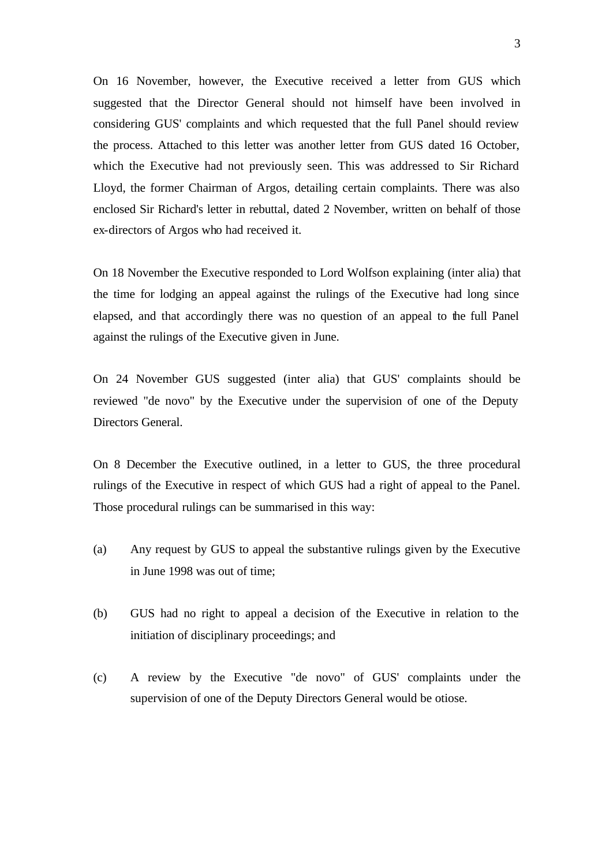On 16 November, however, the Executive received a letter from GUS which suggested that the Director General should not himself have been involved in considering GUS' complaints and which requested that the full Panel should review the process. Attached to this letter was another letter from GUS dated 16 October, which the Executive had not previously seen. This was addressed to Sir Richard Lloyd, the former Chairman of Argos, detailing certain complaints. There was also enclosed Sir Richard's letter in rebuttal, dated 2 November, written on behalf of those ex-directors of Argos who had received it.

On 18 November the Executive responded to Lord Wolfson explaining (inter alia) that the time for lodging an appeal against the rulings of the Executive had long since elapsed, and that accordingly there was no question of an appeal to the full Panel against the rulings of the Executive given in June.

On 24 November GUS suggested (inter alia) that GUS' complaints should be reviewed "de novo" by the Executive under the supervision of one of the Deputy Directors General.

On 8 December the Executive outlined, in a letter to GUS, the three procedural rulings of the Executive in respect of which GUS had a right of appeal to the Panel. Those procedural rulings can be summarised in this way:

- (a) Any request by GUS to appeal the substantive rulings given by the Executive in June 1998 was out of time;
- (b) GUS had no right to appeal a decision of the Executive in relation to the initiation of disciplinary proceedings; and
- (c) A review by the Executive "de novo" of GUS' complaints under the supervision of one of the Deputy Directors General would be otiose.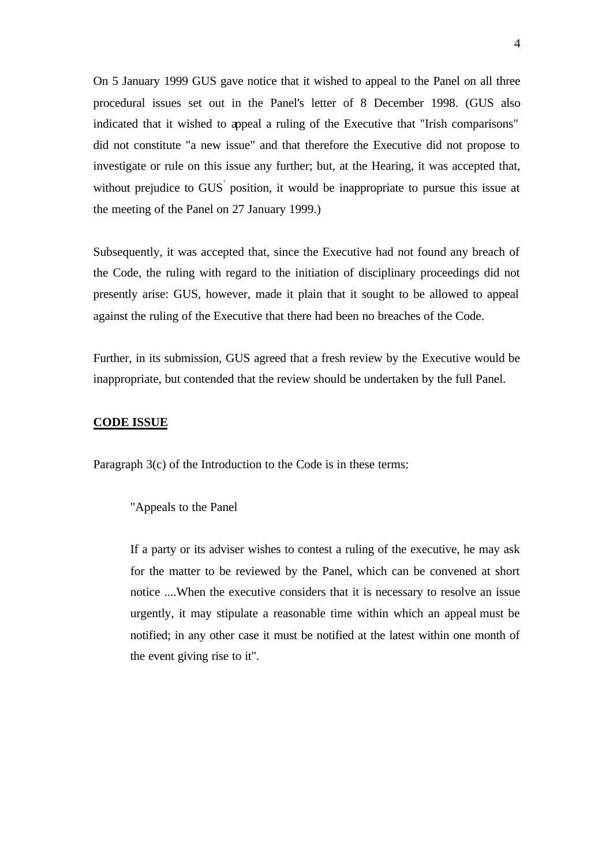On 5 January 1999 GUS gave notice that it wished to appeal to the Panel on all three procedural issues set out in the Panel's letter of 8 December 1998. (GUS also indicated that it wished to appeal a ruling of the Executive that "Irish comparisons" did not constitute "a new issue" and that therefore the Executive did not propose to investigate or rule on this issue any further; but, at the Hearing, it was accepted that, without prejudice to GUS position, it would be inappropriate to pursue this issue at the meeting of the Panel on 27 January 1999.)

Subsequently, it was accepted that, since the Executive had not found any breach of the Code, the ruling with regard to the initiation of disciplinary proceedings did not presently arise: GUS, however, made it plain that it sought to be allowed to appeal against the ruling of the Executive that there had been no breaches of the Code.

Further, in its submission, GUS agreed that a fresh review by the Executive would be inappropriate, but contended that the review should be undertaken by the full Panel.

### **CODE ISSUE**

Paragraph 3(c) of the Introduction to the Code is in these terms:

"Appeals to the Panel

If a party or its adviser wishes to contest a ruling of the executive, he may ask for the matter to be reviewed by the Panel, which can be convened at short notice ....When the executive considers that it is necessary to resolve an issue urgently, it may stipulate a reasonable time within which an appeal must be notified; in any other case it must be notified at the latest within one month of the event giving rise to it".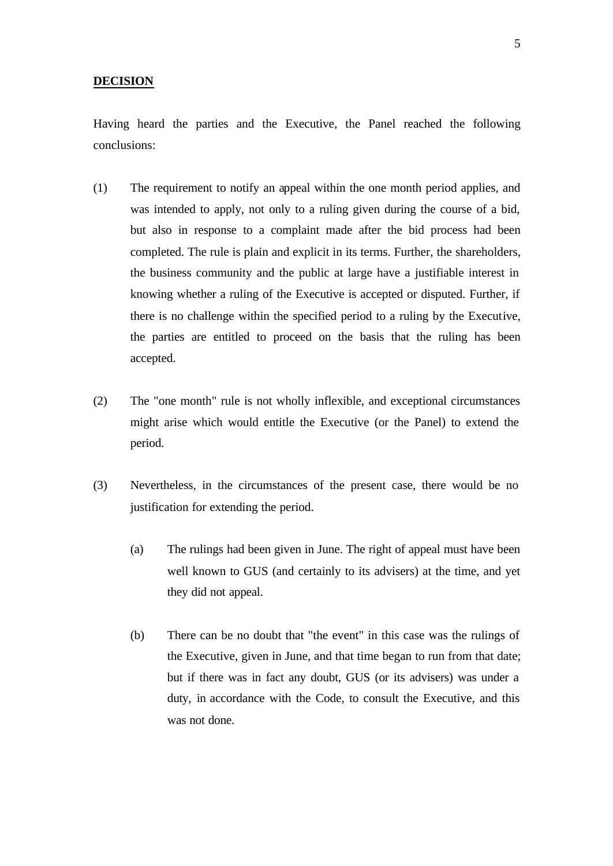#### **DECISION**

Having heard the parties and the Executive, the Panel reached the following conclusions:

- (1) The requirement to notify an appeal within the one month period applies, and was intended to apply, not only to a ruling given during the course of a bid, but also in response to a complaint made after the bid process had been completed. The rule is plain and explicit in its terms. Further, the shareholders, the business community and the public at large have a justifiable interest in knowing whether a ruling of the Executive is accepted or disputed. Further, if there is no challenge within the specified period to a ruling by the Executive, the parties are entitled to proceed on the basis that the ruling has been accepted.
- (2) The "one month" rule is not wholly inflexible, and exceptional circumstances might arise which would entitle the Executive (or the Panel) to extend the period.
- (3) Nevertheless, in the circumstances of the present case, there would be no justification for extending the period.
	- (a) The rulings had been given in June. The right of appeal must have been well known to GUS (and certainly to its advisers) at the time, and yet they did not appeal.
	- (b) There can be no doubt that "the event" in this case was the rulings of the Executive, given in June, and that time began to run from that date; but if there was in fact any doubt, GUS (or its advisers) was under a duty, in accordance with the Code, to consult the Executive, and this was not done.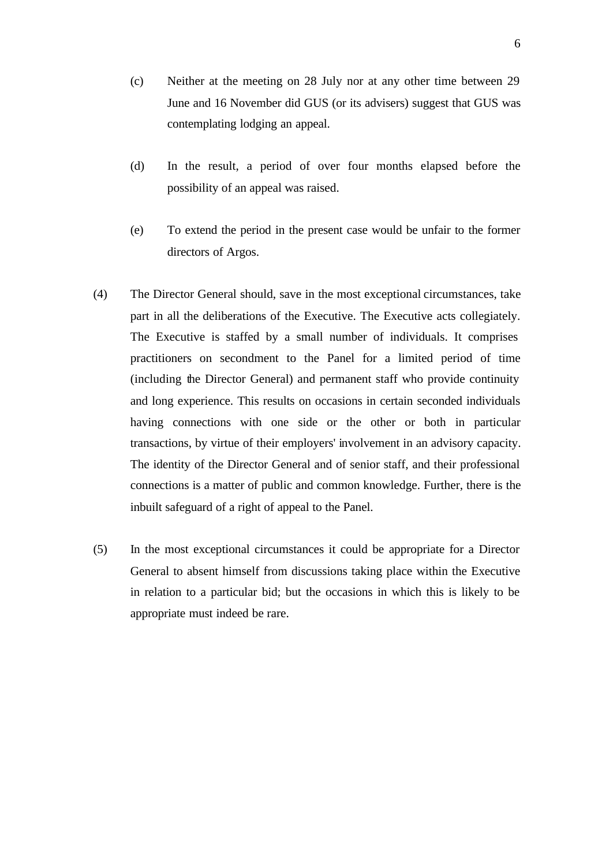- (c) Neither at the meeting on 28 July nor at any other time between 29 June and 16 November did GUS (or its advisers) suggest that GUS was contemplating lodging an appeal.
- (d) In the result, a period of over four months elapsed before the possibility of an appeal was raised.
- (e) To extend the period in the present case would be unfair to the former directors of Argos.
- (4) The Director General should, save in the most exceptional circumstances, take part in all the deliberations of the Executive. The Executive acts collegiately. The Executive is staffed by a small number of individuals. It comprises practitioners on secondment to the Panel for a limited period of time (including the Director General) and permanent staff who provide continuity and long experience. This results on occasions in certain seconded individuals having connections with one side or the other or both in particular transactions, by virtue of their employers' involvement in an advisory capacity. The identity of the Director General and of senior staff, and their professional connections is a matter of public and common knowledge. Further, there is the inbuilt safeguard of a right of appeal to the Panel.
- (5) In the most exceptional circumstances it could be appropriate for a Director General to absent himself from discussions taking place within the Executive in relation to a particular bid; but the occasions in which this is likely to be appropriate must indeed be rare.